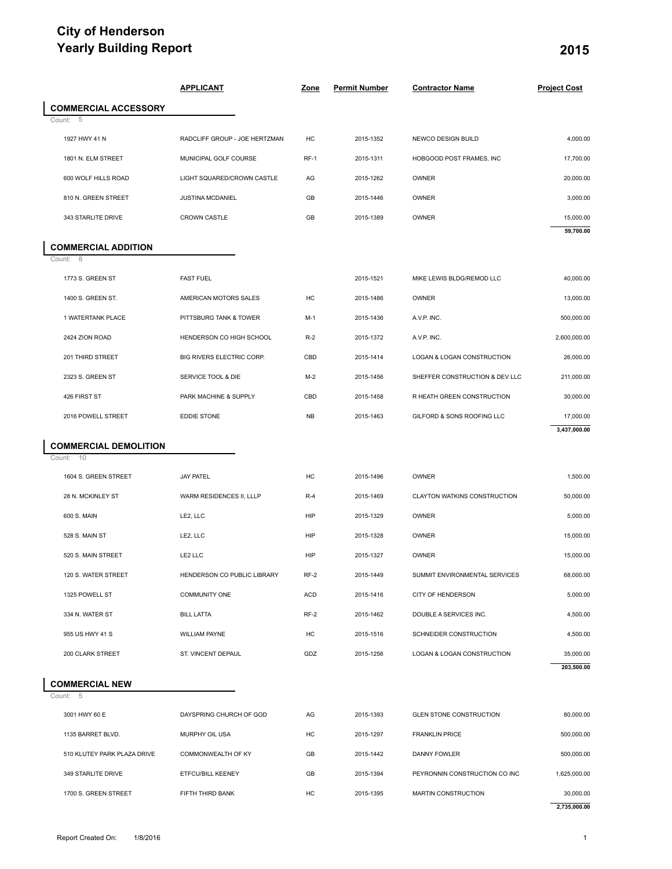## **City of Henderson Yearly Building Report 2015**

| Yearly Building Report                       |                               |             |                      |                                       | 2015                |
|----------------------------------------------|-------------------------------|-------------|----------------------|---------------------------------------|---------------------|
|                                              | <b>APPLICANT</b>              | <b>Zone</b> | <b>Permit Number</b> | <b>Contractor Name</b>                | <b>Project Cost</b> |
| <b>COMMERCIAL ACCESSORY</b><br>Count: 5      |                               |             |                      |                                       |                     |
| 1927 HWY 41 N                                | RADCLIFF GROUP - JOE HERTZMAN | HC          | 2015-1352            | NEWCO DESIGN BUILD                    | 4,000.00            |
| 1801 N. ELM STREET                           | MUNICIPAL GOLF COURSE         | $RF-1$      | 2015-1311            | HOBGOOD POST FRAMES, INC              | 17,700.00           |
| 600 WOLF HILLS ROAD                          | LIGHT SQUARED/CROWN CASTLE    | AG          | 2015-1262            | OWNER                                 | 20,000.00           |
| 810 N. GREEN STREET                          | JUSTINA MCDANIEL              | GB          | 2015-1446            | OWNER                                 | 3,000.00            |
| 343 STARLITE DRIVE                           | <b>CROWN CASTLE</b>           | GB          | 2015-1389            | OWNER                                 | 15,000.00           |
|                                              |                               |             |                      |                                       | 59,700.00           |
| <b>COMMERCIAL ADDITION</b><br>Count: 8       |                               |             |                      |                                       |                     |
| 1773 S. GREEN ST                             | <b>FAST FUEL</b>              |             | 2015-1521            | MIKE LEWIS BLDG/REMOD LLC             | 40,000.00           |
| 1400 S. GREEN ST.                            | AMERICAN MOTORS SALES         | HC          | 2015-1486            | OWNER                                 | 13,000.00           |
| 1 WATERTANK PLACE                            | PITTSBURG TANK & TOWER        | $M-1$       | 2015-1436            | A.V.P. INC.                           | 500,000.00          |
| 2424 ZION ROAD                               | HENDERSON CO HIGH SCHOOL      | $R-2$       | 2015-1372            | A.V.P. INC.                           | 2,600,000.00        |
| 201 THIRD STREET                             | BIG RIVERS ELECTRIC CORP.     | CBD         | 2015-1414            | LOGAN & LOGAN CONSTRUCTION            | 26,000.00           |
| 2323 S. GREEN ST                             | SERVICE TOOL & DIE            | $M-2$       | 2015-1456            | SHEFFER CONSTRUCTION & DEV LLC        | 211,000.00          |
| 426 FIRST ST                                 | PARK MACHINE & SUPPLY         | CBD         | 2015-1458            | R HEATH GREEN CONSTRUCTION            | 30,000.00           |
| 2016 POWELL STREET                           | EDDIE STONE                   | <b>NB</b>   | 2015-1463            | GILFORD & SONS ROOFING LLC            | 17,000.00           |
|                                              |                               |             |                      |                                       | 3,437,000.00        |
| <b>COMMERCIAL DEMOLITION</b><br>10<br>Count: |                               |             |                      |                                       |                     |
| 1604 S. GREEN STREET                         | <b>JAY PATEL</b>              | HC          | 2015-1496            | OWNER                                 | 1,500.00            |
| 28 N. MCKINLEY ST                            | WARM RESIDENCES II, LLLP      | $R-4$       | 2015-1469            | CLAYTON WATKINS CONSTRUCTION          | 50,000.00           |
| 600 S. MAIN                                  | LE2, LLC                      | HIP         | 2015-1329            | OWNER                                 | 5,000.00            |
| 528 S. MAIN ST                               | LE2, LLC                      | HIP         | 2015-1328            | OWNER                                 | 15,000.00           |
| 520 S. MAIN STREET                           | LE2 LLC                       | HIP         | 2015-1327            | OWNER                                 | 15,000.00           |
| 120 S. WATER STREET                          | HENDERSON CO PUBLIC LIBRARY   | $RF-2$      | 2015-1449            | SUMMIT ENVIRONMENTAL SERVICES         | 68,000.00           |
| 1325 POWELL ST                               | <b>COMMUNITY ONE</b>          | <b>ACD</b>  | 2015-1416            | <b>CITY OF HENDERSON</b>              | 5,000.00            |
| 334 N. WATER ST                              | <b>BILL LATTA</b>             | $RF-2$      | 2015-1462            | DOUBLE A SERVICES INC.                | 4,500.00            |
| 955 US HWY 41 S                              | <b>WILLIAM PAYNE</b>          | HC          | 2015-1516            | SCHNEIDER CONSTRUCTION                | 4,500.00            |
| 200 CLARK STREET                             | ST. VINCENT DEPAUL            | GDZ         | 2015-1256            | <b>LOGAN &amp; LOGAN CONSTRUCTION</b> | 35,000.00           |
|                                              |                               |             |                      |                                       | 203,500.00          |
| <b>COMMERCIAL NEW</b><br>Count: 5            |                               |             |                      |                                       |                     |
| 3001 HWY 60 E                                | DAYSPRING CHURCH OF GOD       | AG          | 2015-1393            | <b>GLEN STONE CONSTRUCTION</b>        | 80,000.00           |
| 1135 BARRET BLVD.                            | MURPHY OIL USA                | HC          | 2015-1297            | <b>FRANKLIN PRICE</b>                 | 500,000.00          |
| 510 KLUTEY PARK PLAZA DRIVE                  | COMMONWEALTH OF KY            | GB          | 2015-1442            | DANNY FOWLER                          | 500,000.00          |
| 349 STARLITE DRIVE                           | ETFCU/BILL KEENEY             | GB          | 2015-1394            | PEYRONNIN CONSTRUCTION CO INC         | 1,625,000.00        |
| 1700 S. GREEN STREET                         | FIFTH THIRD BANK              | HC          | 2015-1395            | MARTIN CONSTRUCTION                   | 30,000.00           |
|                                              |                               |             |                      |                                       | 2,735,000.00        |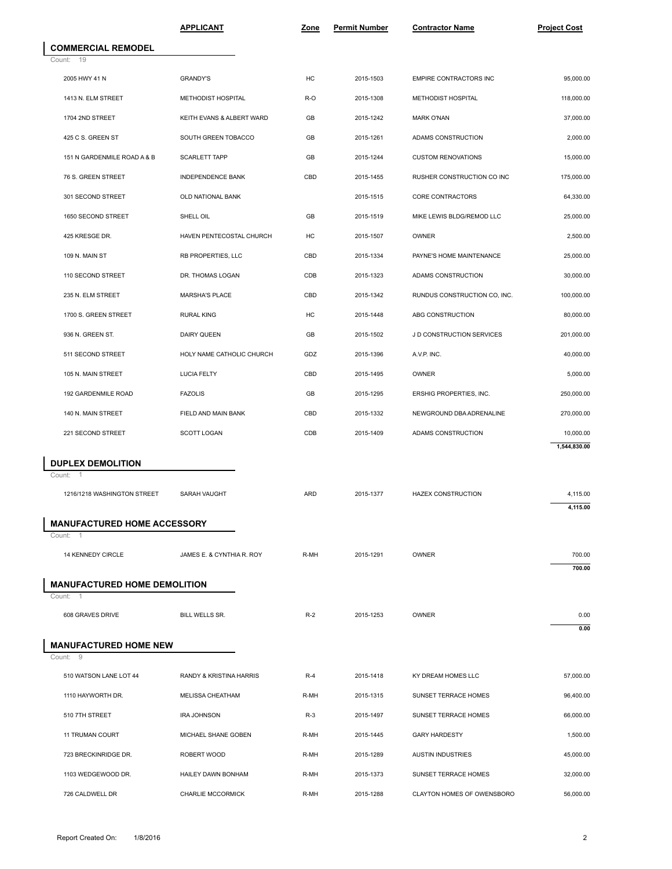|                                                    | <b>APPLICANT</b>          | <u>Zone</u> | <b>Permit Number</b> | <b>Contractor Name</b>        | <b>Project Cost</b> |
|----------------------------------------------------|---------------------------|-------------|----------------------|-------------------------------|---------------------|
| <b>COMMERCIAL REMODEL</b>                          |                           |             |                      |                               |                     |
| Count: 19                                          |                           |             |                      |                               |                     |
| 2005 HWY 41 N                                      | <b>GRANDY'S</b>           | HC          | 2015-1503            | <b>EMPIRE CONTRACTORS INC</b> | 95,000.00           |
| 1413 N. ELM STREET                                 | METHODIST HOSPITAL        | R-O         | 2015-1308            | METHODIST HOSPITAL            | 118,000.00          |
| 1704 2ND STREET                                    | KEITH EVANS & ALBERT WARD | GB          | 2015-1242            | <b>MARK O'NAN</b>             | 37,000.00           |
| 425 C S. GREEN ST                                  | SOUTH GREEN TOBACCO       | GB          | 2015-1261            | ADAMS CONSTRUCTION            | 2,000.00            |
| 151 N GARDENMILE ROAD A & B                        | <b>SCARLETT TAPP</b>      | GB          | 2015-1244            | <b>CUSTOM RENOVATIONS</b>     | 15,000.00           |
| 76 S. GREEN STREET                                 | <b>INDEPENDENCE BANK</b>  | CBD         | 2015-1455            | RUSHER CONSTRUCTION CO INC    | 175,000.00          |
| 301 SECOND STREET                                  | OLD NATIONAL BANK         |             | 2015-1515            | CORE CONTRACTORS              | 64,330.00           |
| 1650 SECOND STREET                                 | SHELL OIL                 | GB          | 2015-1519            | MIKE LEWIS BLDG/REMOD LLC     | 25,000.00           |
| 425 KRESGE DR.                                     | HAVEN PENTECOSTAL CHURCH  | HC          | 2015-1507            | <b>OWNER</b>                  | 2,500.00            |
| 109 N. MAIN ST                                     | RB PROPERTIES, LLC        | CBD         | 2015-1334            | PAYNE'S HOME MAINTENANCE      | 25,000.00           |
| 110 SECOND STREET                                  | DR. THOMAS LOGAN          | CDB         | 2015-1323            | ADAMS CONSTRUCTION            | 30,000.00           |
| 235 N. ELM STREET                                  | <b>MARSHA'S PLACE</b>     | CBD         | 2015-1342            | RUNDUS CONSTRUCTION CO, INC.  | 100,000.00          |
| 1700 S. GREEN STREET                               | <b>RURAL KING</b>         | HC          | 2015-1448            | ABG CONSTRUCTION              | 80,000.00           |
| 936 N. GREEN ST.                                   | DAIRY QUEEN               | GB          | 2015-1502            | J D CONSTRUCTION SERVICES     | 201,000.00          |
| 511 SECOND STREET                                  | HOLY NAME CATHOLIC CHURCH | GDZ         | 2015-1396            | A.V.P. INC.                   | 40,000.00           |
| 105 N. MAIN STREET                                 | <b>LUCIA FELTY</b>        | CBD         | 2015-1495            | OWNER                         | 5,000.00            |
| 192 GARDENMILE ROAD                                | <b>FAZOLIS</b>            | GB          | 2015-1295            | ERSHIG PROPERTIES, INC.       | 250,000.00          |
| 140 N. MAIN STREET                                 | FIELD AND MAIN BANK       | CBD         | 2015-1332            | NEWGROUND DBA ADRENALINE      | 270,000.00          |
| 221 SECOND STREET                                  | SCOTT LOGAN               | CDB         | 2015-1409            | ADAMS CONSTRUCTION            | 10,000.00           |
|                                                    |                           |             |                      |                               | 1,544,830.00        |
| <b>DUPLEX DEMOLITION</b><br>Count:                 |                           |             |                      |                               |                     |
| 1216/1218 WASHINGTON STREET                        | SARAH VAUGHT              | ARD         | 2015-1377            | <b>HAZEX CONSTRUCTION</b>     | 4,115.00            |
|                                                    |                           |             |                      |                               | 4,115.00            |
| <b>MANUFACTURED HOME ACCESSORY</b><br>Count:<br>-1 |                           |             |                      |                               |                     |
| 14 KENNEDY CIRCLE                                  | JAMES E. & CYNTHIA R. ROY | R-MH        | 2015-1291            | OWNER                         | 700.00              |
|                                                    |                           |             |                      |                               | 700.00              |
| <b>MANUFACTURED HOME DEMOLITION</b>                |                           |             |                      |                               |                     |
| Count: 1<br>608 GRAVES DRIVE                       | <b>BILL WELLS SR.</b>     | $R-2$       | 2015-1253            | OWNER                         | 0.00                |
|                                                    |                           |             |                      |                               | 0.00                |
| <b>MANUFACTURED HOME NEW</b>                       |                           |             |                      |                               |                     |
| Count: 9                                           |                           |             |                      |                               |                     |
| 510 WATSON LANE LOT 44                             | RANDY & KRISTINA HARRIS   | $R-4$       | 2015-1418            | KY DREAM HOMES LLC            | 57,000.00           |
| 1110 HAYWORTH DR.                                  | MELISSA CHEATHAM          | R-MH        | 2015-1315            | SUNSET TERRACE HOMES          | 96,400.00           |
| 510 7TH STREET                                     | <b>IRA JOHNSON</b>        | $R-3$       | 2015-1497            | SUNSET TERRACE HOMES          | 66,000.00           |
| 11 TRUMAN COURT                                    | MICHAEL SHANE GOBEN       | R-MH        | 2015-1445            | <b>GARY HARDESTY</b>          | 1,500.00            |
| 723 BRECKINRIDGE DR.                               | ROBERT WOOD               | R-MH        | 2015-1289            | <b>AUSTIN INDUSTRIES</b>      | 45,000.00           |
| 1103 WEDGEWOOD DR.                                 | HAILEY DAWN BONHAM        | R-MH        | 2015-1373            | SUNSET TERRACE HOMES          | 32,000.00           |
| 726 CALDWELL DR                                    | CHARLIE MCCORMICK         | R-MH        | 2015-1288            | CLAYTON HOMES OF OWENSBORO    | 56,000.00           |
|                                                    |                           |             |                      |                               |                     |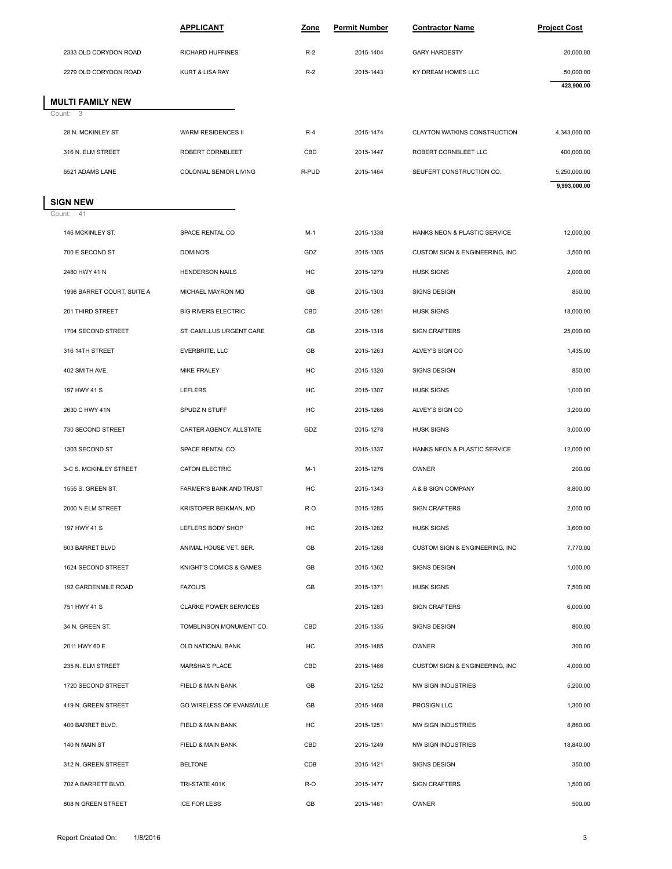|                                             | <b>APPLICANT</b>                           | Zone      | <b>Permit Number</b>   | <b>Contractor Name</b>                              | <b>Project Cost</b>          |
|---------------------------------------------|--------------------------------------------|-----------|------------------------|-----------------------------------------------------|------------------------------|
|                                             |                                            |           |                        |                                                     |                              |
| 2333 OLD CORYDON ROAD                       | RICHARD HUFFINES                           | $R-2$     | 2015-1404              | <b>GARY HARDESTY</b>                                | 20,000.00                    |
| 2279 OLD CORYDON ROAD                       | KURT & LISA RAY                            | $R-2$     | 2015-1443              | KY DREAM HOMES LLC                                  | 50,000.00<br>423,900.00      |
| <b>MULTI FAMILY NEW</b>                     |                                            |           |                        |                                                     |                              |
| Count: 3                                    |                                            |           |                        |                                                     |                              |
| 28 N. MCKINLEY ST                           | WARM RESIDENCES II                         | $R-4$     | 2015-1474              | CLAYTON WATKINS CONSTRUCTION                        | 4,343,000.00                 |
| 316 N. ELM STREET                           | ROBERT CORNBLEET<br>COLONIAL SENIOR LIVING | CBD       | 2015-1447              | ROBERT CORNBLEET LLC                                | 400,000.00                   |
| 6521 ADAMS LANE                             |                                            | R-PUD     | 2015-1464              | SEUFERT CONSTRUCTION CO.                            | 5,250,000.00<br>9,993,000.00 |
| <b>SIGN NEW</b>                             |                                            |           |                        |                                                     |                              |
| Count:<br>-41                               |                                            |           |                        |                                                     |                              |
| 146 MCKINLEY ST.                            | SPACE RENTAL CO                            | $M-1$     | 2015-1338              | HANKS NEON & PLASTIC SERVICE                        | 12,000.00                    |
| 700 E SECOND ST                             | DOMINO'S<br><b>HENDERSON NAILS</b>         | GDZ<br>HC | 2015-1305              | CUSTOM SIGN & ENGINEERING, INC<br><b>HUSK SIGNS</b> | 3,500.00<br>2,000.00         |
| 2480 HWY 41 N<br>1998 BARRET COURT, SUITE A | MICHAEL MAYRON MD                          | GB        | 2015-1279<br>2015-1303 | SIGNS DESIGN                                        | 850.00                       |
|                                             |                                            |           |                        |                                                     |                              |
| 201 THIRD STREET                            | <b>BIG RIVERS ELECTRIC</b>                 | CBD       | 2015-1281              | <b>HUSK SIGNS</b>                                   | 18,000.00                    |
| 1704 SECOND STREET                          | ST. CAMILLUS URGENT CARE                   | GB        | 2015-1316              | SIGN CRAFTERS                                       | 25,000.00                    |
| 316 14TH STREET                             | EVERBRITE, LLC                             | GB        | 2015-1263              | ALVEY'S SIGN CO                                     | 1,435.00                     |
| 402 SMITH AVE.                              | MIKE FRALEY                                | НC        | 2015-1326              | SIGNS DESIGN                                        | 850.00                       |
| 197 HWY 41 S                                | LEFLERS                                    | HC        | 2015-1307              | <b>HUSK SIGNS</b>                                   | 1,000.00                     |
| 2630 C HWY 41N                              | SPUDZ N STUFF                              | НC        | 2015-1266              | ALVEY'S SIGN CO                                     | 3,200.00                     |
| 730 SECOND STREET                           | CARTER AGENCY, ALLSTATE                    | GDZ       | 2015-1278              | <b>HUSK SIGNS</b>                                   | 3,000.00                     |
| 1303 SECOND ST                              | SPACE RENTAL CO                            |           | 2015-1337              | HANKS NEON & PLASTIC SERVICE                        | 12,000.00                    |
| 3-C S. MCKINLEY STREET                      | CATON ELECTRIC                             | $M-1$     | 2015-1276              | OWNER                                               | 200.00                       |
| 1555 S. GREEN ST.                           | FARMER'S BANK AND TRUST                    | НC        | 2015-1343              | A & B SIGN COMPANY                                  | 8,800.00                     |
| 2000 N ELM STREET                           | KRISTOPER BEIKMAN, MD                      | R-O       | 2015-1285              | <b>SIGN CRAFTERS</b>                                | 2,000.00                     |
| 197 HWY 41 S                                | LEFLERS BODY SHOP                          | HC        | 2015-1282              | <b>HUSK SIGNS</b>                                   | 3,600.00                     |
| 603 BARRET BLVD                             | ANIMAL HOUSE VET. SER.                     | GB        | 2015-1268              | CUSTOM SIGN & ENGINEERING, INC                      | 7,770.00                     |
| 1624 SECOND STREET                          | KNIGHT'S COMICS & GAMES                    | GB        | 2015-1362              | SIGNS DESIGN                                        | 1,000.00                     |
| 192 GARDENMILE ROAD                         | <b>FAZOLI'S</b>                            | GB        | 2015-1371              | <b>HUSK SIGNS</b>                                   | 7,500.00                     |
| 751 HWY 41 S                                | <b>CLARKE POWER SERVICES</b>               |           | 2015-1283              | SIGN CRAFTERS                                       | 6,000.00                     |
| 34 N. GREEN ST.                             | TOMBLINSON MONUMENT CO.                    | CBD       | 2015-1335              | SIGNS DESIGN                                        | 800.00                       |
| 2011 HWY 60 E                               | OLD NATIONAL BANK                          | HC        | 2015-1485              | OWNER                                               | 300.00                       |
| 235 N. ELM STREET                           | <b>MARSHA'S PLACE</b>                      | CBD       | 2015-1466              | CUSTOM SIGN & ENGINEERING, INC                      | 4,000.00                     |
| 1720 SECOND STREET                          | FIELD & MAIN BANK                          | GB        | 2015-1252              | NW SIGN INDUSTRIES                                  | 5,200.00                     |
| 419 N. GREEN STREET                         | GO WIRELESS OF EVANSVILLE                  | GB        | 2015-1468              | PROSIGN LLC                                         | 1,300.00                     |
| 400 BARRET BLVD.                            | FIELD & MAIN BANK                          | HC        | 2015-1251              | NW SIGN INDUSTRIES                                  | 8,860.00                     |
| 140 N MAIN ST                               | FIELD & MAIN BANK                          | CBD       | 2015-1249              | NW SIGN INDUSTRIES                                  | 18,840.00                    |
| 312 N. GREEN STREET                         | <b>BELTONE</b>                             | CDB       | 2015-1421              | SIGNS DESIGN                                        | 350.00                       |
| 702 A BARRETT BLVD.                         | TRI-STATE 401K                             | R-O       | 2015-1477              | <b>SIGN CRAFTERS</b>                                | 1,500.00                     |
| 808 N GREEN STREET                          | <b>ICE FOR LESS</b>                        | GB        | 2015-1461              | OWNER                                               | 500.00                       |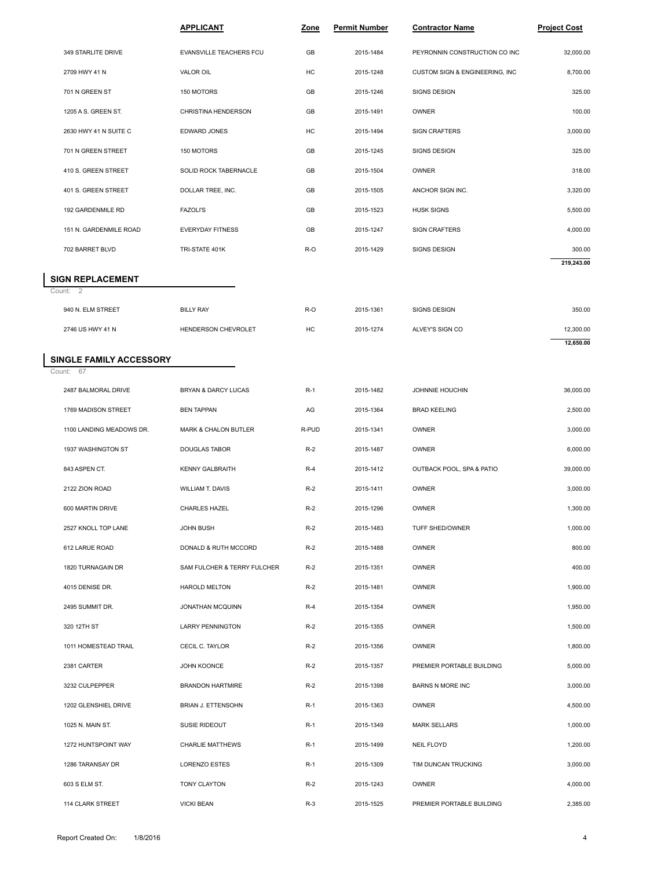|                        | <b>APPLICANT</b>        | Zone | <b>Permit Number</b> | <b>Contractor Name</b>         | <b>Project Cost</b> |
|------------------------|-------------------------|------|----------------------|--------------------------------|---------------------|
| 349 STARLITE DRIVE     | EVANSVILLE TEACHERS FCU | GB   | 2015-1484            | PEYRONNIN CONSTRUCTION CO INC  | 32,000.00           |
| 2709 HWY 41 N          | VALOR OIL               | HC   | 2015-1248            | CUSTOM SIGN & ENGINEERING, INC | 8,700.00            |
| 701 N GREEN ST         | 150 MOTORS              | GB   | 2015-1246            | SIGNS DESIGN                   | 325.00              |
| 1205 A S. GREEN ST.    | CHRISTINA HENDERSON     | GB   | 2015-1491            | <b>OWNER</b>                   | 100.00              |
| 2630 HWY 41 N SUITE C  | EDWARD JONES            | HC   | 2015-1494            | <b>SIGN CRAFTERS</b>           | 3,000.00            |
| 701 N GREEN STREET     | 150 MOTORS              | GB   | 2015-1245            | SIGNS DESIGN                   | 325.00              |
| 410 S. GREEN STREET    | SOLID ROCK TABERNACLE   | GB   | 2015-1504            | <b>OWNER</b>                   | 318.00              |
| 401 S. GREEN STREET    | DOLLAR TREE, INC.       | GB   | 2015-1505            | ANCHOR SIGN INC.               | 3,320.00            |
| 192 GARDENMILE RD      | <b>FAZOLI'S</b>         | GB   | 2015-1523            | <b>HUSK SIGNS</b>              | 5,500.00            |
| 151 N. GARDENMILE ROAD | <b>EVERYDAY FITNESS</b> | GB   | 2015-1247            | <b>SIGN CRAFTERS</b>           | 4,000.00            |
| 702 BARRET BLVD        | TRI-STATE 401K          | R-O  | 2015-1429            | SIGNS DESIGN                   | 300.00              |
| IGN REPLACEMENT        |                         |      |                      |                                | 219,243.00          |
| ount: 2                |                         |      |                      |                                |                     |
| 940 N. ELM STREET      | <b>BILLY RAY</b>        | R-O  | 2015-1361            | SIGNS DESIGN                   | 350.00              |
| 2746 US HWY 41 N       | HENDERSON CHEVROLET     | HC   | 2015-1274            | ALVEY'S SIGN CO                | 12,300.00           |

# **SIGN REPLACEMENT**<br>Count: 2

| 702 BARRET BLVD                | TRI-STATE 401K                 | R-O   | 2015-1429 | SIGNS DESIGN        | 300.00     |
|--------------------------------|--------------------------------|-------|-----------|---------------------|------------|
|                                |                                |       |           |                     | 219,243.00 |
| <b>SIGN REPLACEMENT</b>        |                                |       |           |                     |            |
| Count: 2                       |                                |       |           |                     |            |
| 940 N. ELM STREET              | <b>BILLY RAY</b>               | R-O   | 2015-1361 | SIGNS DESIGN        | 350.00     |
| 2746 US HWY 41 N               | HENDERSON CHEVROLET            | HC    | 2015-1274 | ALVEY'S SIGN CO     | 12,300.00  |
|                                |                                |       |           |                     | 12,650.00  |
| <b>SINGLE FAMILY ACCESSORY</b> |                                |       |           |                     |            |
| Count: 67                      |                                |       |           |                     |            |
| 2487 BALMORAL DRIVE            | <b>BRYAN &amp; DARCY LUCAS</b> | $R-1$ | 2015-1482 | JOHNNIE HOUCHIN     | 36,000.00  |
| 1769 MADISON STREET            | <b>BEN TAPPAN</b>              | AG    | 2015-1364 | <b>BRAD KEELING</b> | 2,500.00   |

#### **SINGLE FAMILY ACCESSORY**

| 2746 US HWY 41 N              | HENDERSON CHEVROLET         | HC    | 2015-1274 | ALVEY'S SIGN CO           | 12,300.00 |  |  |  |  |  |
|-------------------------------|-----------------------------|-------|-----------|---------------------------|-----------|--|--|--|--|--|
| <b>INGLE FAMILY ACCESSORY</b> |                             |       |           |                           | 12,650.00 |  |  |  |  |  |
| ount: 67                      |                             |       |           |                           |           |  |  |  |  |  |
| 2487 BALMORAL DRIVE           | BRYAN & DARCY LUCAS         | $R-1$ | 2015-1482 | JOHNNIE HOUCHIN           | 36,000.00 |  |  |  |  |  |
| 1769 MADISON STREET           | <b>BEN TAPPAN</b>           | AG    | 2015-1364 | <b>BRAD KEELING</b>       | 2,500.00  |  |  |  |  |  |
| 1100 LANDING MEADOWS DR.      | MARK & CHALON BUTLER        | R-PUD | 2015-1341 | OWNER                     | 3,000.00  |  |  |  |  |  |
| 1937 WASHINGTON ST            | <b>DOUGLAS TABOR</b>        | $R-2$ | 2015-1487 | <b>OWNER</b>              | 6,000.00  |  |  |  |  |  |
| 843 ASPEN CT.                 | <b>KENNY GALBRAITH</b>      | $R-4$ | 2015-1412 | OUTBACK POOL, SPA & PATIO | 39,000.00 |  |  |  |  |  |
| 2122 ZION ROAD                | WILLIAM T. DAVIS            | $R-2$ | 2015-1411 | <b>OWNER</b>              | 3,000.00  |  |  |  |  |  |
| 600 MARTIN DRIVE              | CHARLES HAZEL               | $R-2$ | 2015-1296 | OWNER                     | 1,300.00  |  |  |  |  |  |
| 2527 KNOLL TOP LANE           | <b>JOHN BUSH</b>            | $R-2$ | 2015-1483 | TUFF SHED/OWNER           | 1,000.00  |  |  |  |  |  |
| 612 LARUE ROAD                | DONALD & RUTH MCCORD        | $R-2$ | 2015-1488 | <b>OWNER</b>              | 800.00    |  |  |  |  |  |
| 1820 TURNAGAIN DR             | SAM FULCHER & TERRY FULCHER | $R-2$ | 2015-1351 | <b>OWNER</b>              | 400.00    |  |  |  |  |  |
| 4015 DENISE DR.               | <b>HAROLD MELTON</b>        | $R-2$ | 2015-1481 | OWNER                     | 1,900.00  |  |  |  |  |  |
| 2495 SUMMIT DR.               | <b>JONATHAN MCQUINN</b>     | $R-4$ | 2015-1354 | <b>OWNER</b>              | 1,950.00  |  |  |  |  |  |
| 320 12TH ST                   | <b>LARRY PENNINGTON</b>     | $R-2$ | 2015-1355 | <b>OWNER</b>              | 1,500.00  |  |  |  |  |  |
| 1011 HOMESTEAD TRAIL          | CECIL C. TAYLOR             | $R-2$ | 2015-1356 | <b>OWNER</b>              | 1,800.00  |  |  |  |  |  |
| 2381 CARTER                   | JOHN KOONCE                 | $R-2$ | 2015-1357 | PREMIER PORTABLE BUILDING | 5,000.00  |  |  |  |  |  |
| 3232 CULPEPPER                | <b>BRANDON HARTMIRE</b>     | $R-2$ | 2015-1398 | <b>BARNS N MORE INC</b>   | 3,000.00  |  |  |  |  |  |
| 1202 GLENSHIEL DRIVE          | <b>BRIAN J. ETTENSOHN</b>   | $R-1$ | 2015-1363 | <b>OWNER</b>              | 4,500.00  |  |  |  |  |  |
| 1025 N. MAIN ST.              | SUSIE RIDEOUT               | $R-1$ | 2015-1349 | <b>MARK SELLARS</b>       | 1,000.00  |  |  |  |  |  |
| 1272 HUNTSPOINT WAY           | <b>CHARLIE MATTHEWS</b>     | $R-1$ | 2015-1499 | <b>NEIL FLOYD</b>         | 1,200.00  |  |  |  |  |  |
| 1286 TARANSAY DR              | <b>LORENZO ESTES</b>        | $R-1$ | 2015-1309 | TIM DUNCAN TRUCKING       | 3,000.00  |  |  |  |  |  |
| 603 S ELM ST.                 | TONY CLAYTON                | $R-2$ | 2015-1243 | <b>OWNER</b>              | 4,000.00  |  |  |  |  |  |
| 114 CLARK STREET              | <b>VICKI BEAN</b>           | $R-3$ | 2015-1525 | PREMIER PORTABLE BUILDING | 2,385.00  |  |  |  |  |  |
|                               |                             |       |           |                           |           |  |  |  |  |  |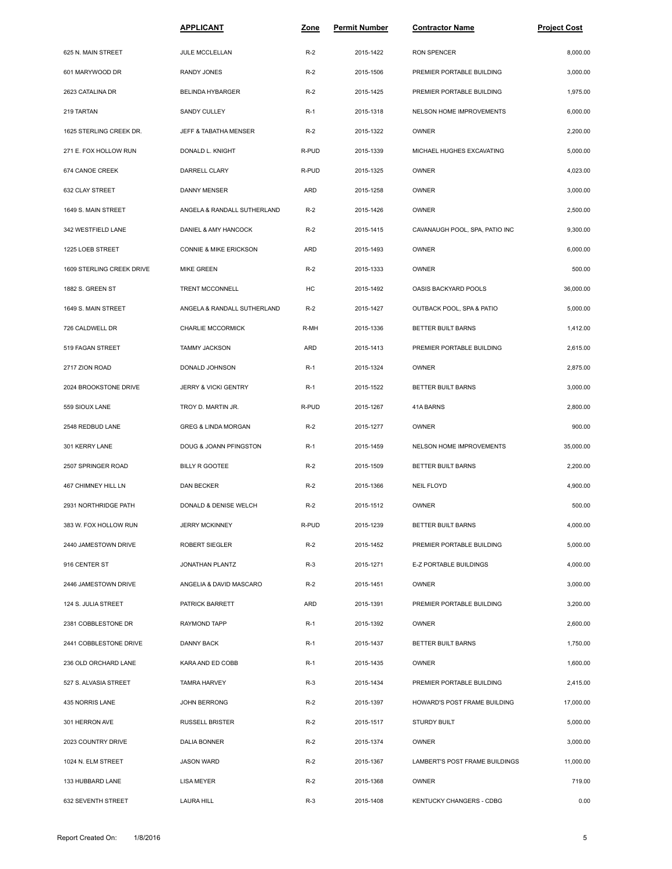|                           | <b>APPLICANT</b>                  | <u>Zone</u> | <b>Permit Number</b> | <b>Contractor Name</b>         | <b>Project Cost</b> |
|---------------------------|-----------------------------------|-------------|----------------------|--------------------------------|---------------------|
| 625 N. MAIN STREET        | JULE MCCLELLAN                    | $R-2$       | 2015-1422            | <b>RON SPENCER</b>             | 8,000.00            |
| 601 MARYWOOD DR           | <b>RANDY JONES</b>                | $R-2$       | 2015-1506            | PREMIER PORTABLE BUILDING      | 3,000.00            |
| 2623 CATALINA DR          | <b>BELINDA HYBARGER</b>           | $R-2$       | 2015-1425            | PREMIER PORTABLE BUILDING      | 1,975.00            |
| 219 TARTAN                | <b>SANDY CULLEY</b>               | $R-1$       | 2015-1318            | NELSON HOME IMPROVEMENTS       | 6,000.00            |
| 1625 STERLING CREEK DR.   | JEFF & TABATHA MENSER             | $R-2$       | 2015-1322            | <b>OWNER</b>                   | 2,200.00            |
| 271 E. FOX HOLLOW RUN     | DONALD L. KNIGHT                  | R-PUD       | 2015-1339            | MICHAEL HUGHES EXCAVATING      | 5,000.00            |
| 674 CANOE CREEK           | DARRELL CLARY                     | R-PUD       | 2015-1325            | <b>OWNER</b>                   | 4,023.00            |
| 632 CLAY STREET           | DANNY MENSER                      | ARD         | 2015-1258            | <b>OWNER</b>                   | 3,000.00            |
| 1649 S. MAIN STREET       | ANGELA & RANDALL SUTHERLAND       | $R-2$       | 2015-1426            | <b>OWNER</b>                   | 2,500.00            |
| 342 WESTFIELD LANE        | DANIEL & AMY HANCOCK              | $R-2$       | 2015-1415            | CAVANAUGH POOL, SPA, PATIO INC | 9,300.00            |
| 1225 LOEB STREET          | <b>CONNIE &amp; MIKE ERICKSON</b> | ARD         | 2015-1493            | OWNER                          | 6,000.00            |
| 1609 STERLING CREEK DRIVE | <b>MIKE GREEN</b>                 | $R-2$       | 2015-1333            | OWNER                          | 500.00              |
| 1882 S. GREEN ST          | TRENT MCCONNELL                   | HC          | 2015-1492            | OASIS BACKYARD POOLS           | 36,000.00           |
| 1649 S. MAIN STREET       | ANGELA & RANDALL SUTHERLAND       | $R-2$       | 2015-1427            | OUTBACK POOL, SPA & PATIO      | 5,000.00            |
| 726 CALDWELL DR           | CHARLIE MCCORMICK                 | R-MH        | 2015-1336            | BETTER BUILT BARNS             | 1,412.00            |
| 519 FAGAN STREET          | <b>TAMMY JACKSON</b>              | ARD         | 2015-1413            | PREMIER PORTABLE BUILDING      | 2,615.00            |
| 2717 ZION ROAD            | DONALD JOHNSON                    | $R-1$       | 2015-1324            | OWNER                          | 2,875.00            |
| 2024 BROOKSTONE DRIVE     | JERRY & VICKI GENTRY              | $R-1$       | 2015-1522            | BETTER BUILT BARNS             | 3,000.00            |
| 559 SIOUX LANE            | TROY D. MARTIN JR.                | R-PUD       | 2015-1267            | 41A BARNS                      | 2,800.00            |
| 2548 REDBUD LANE          | <b>GREG &amp; LINDA MORGAN</b>    | $R-2$       | 2015-1277            | OWNER                          | 900.00              |
| 301 KERRY LANE            | DOUG & JOANN PFINGSTON            | $R-1$       | 2015-1459            | NELSON HOME IMPROVEMENTS       | 35,000.00           |
| 2507 SPRINGER ROAD        | BILLY R GOOTEE                    | $R-2$       | 2015-1509            | BETTER BUILT BARNS             | 2,200.00            |
| 467 CHIMNEY HILL LN       | DAN BECKER                        | $R-2$       | 2015-1366            | <b>NEIL FLOYD</b>              | 4,900.00            |
| 2931 NORTHRIDGE PATH      | DONALD & DENISE WELCH             | $R-2$       | 2015-1512            | OWNER                          | 500.00              |
| 383 W. FOX HOLLOW RUN     | <b>JERRY MCKINNEY</b>             | R-PUD       | 2015-1239            | BETTER BUILT BARNS             | 4,000.00            |
| 2440 JAMESTOWN DRIVE      | ROBERT SIEGLER                    | $R-2$       | 2015-1452            | PREMIER PORTABLE BUILDING      | 5,000.00            |
| 916 CENTER ST             | JONATHAN PLANTZ                   | $R-3$       | 2015-1271            | E-Z PORTABLE BUILDINGS         | 4,000.00            |
| 2446 JAMESTOWN DRIVE      | ANGELIA & DAVID MASCARO           | $R-2$       | 2015-1451            | OWNER                          | 3,000.00            |
| 124 S. JULIA STREET       | PATRICK BARRETT                   | ARD         | 2015-1391            | PREMIER PORTABLE BUILDING      | 3,200.00            |
| 2381 COBBLESTONE DR       | RAYMOND TAPP                      | $R-1$       | 2015-1392            | OWNER                          | 2,600.00            |
| 2441 COBBLESTONE DRIVE    | DANNY BACK                        | $R-1$       | 2015-1437            | BETTER BUILT BARNS             | 1,750.00            |
| 236 OLD ORCHARD LANE      | KARA AND ED COBB                  | $R-1$       | 2015-1435            | OWNER                          | 1,600.00            |
| 527 S. ALVASIA STREET     | <b>TAMRA HARVEY</b>               | $R-3$       | 2015-1434            | PREMIER PORTABLE BUILDING      | 2,415.00            |
| 435 NORRIS LANE           | JOHN BERRONG                      | $R-2$       | 2015-1397            | HOWARD'S POST FRAME BUILDING   | 17,000.00           |
| 301 HERRON AVE            | <b>RUSSELL BRISTER</b>            | $R-2$       | 2015-1517            | <b>STURDY BUILT</b>            | 5,000.00            |
| 2023 COUNTRY DRIVE        | DALIA BONNER                      | $R-2$       | 2015-1374            | OWNER                          | 3,000.00            |
| 1024 N. ELM STREET        | JASON WARD                        | $R-2$       | 2015-1367            | LAMBERT'S POST FRAME BUILDINGS | 11,000.00           |
| 133 HUBBARD LANE          | LISA MEYER                        | $R-2$       | 2015-1368            | OWNER                          | 719.00              |
| 632 SEVENTH STREET        | <b>LAURA HILL</b>                 | $R-3$       | 2015-1408            | KENTUCKY CHANGERS - CDBG       | 0.00                |
|                           |                                   |             |                      |                                |                     |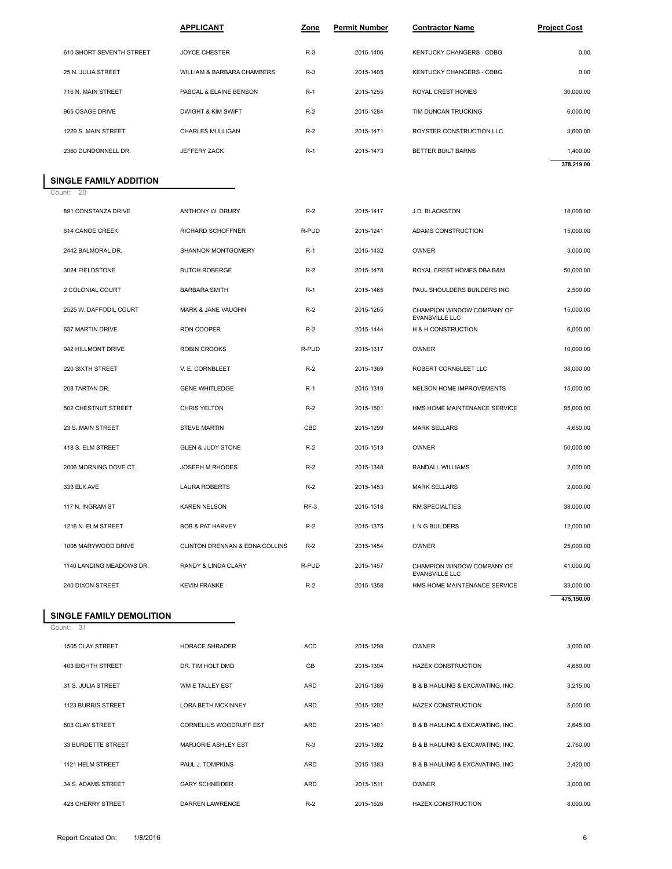|                             | <b>APPLICANT</b>              | Zone  | <b>Permit Number</b> | <b>Contractor Name</b>          | <b>Project Cost</b> |  |
|-----------------------------|-------------------------------|-------|----------------------|---------------------------------|---------------------|--|
| 610 SHORT SEVENTH STREET    | <b>JOYCE CHESTER</b>          | $R-3$ | 2015-1406            | <b>KENTUCKY CHANGERS - CDBG</b> | 0.00                |  |
| 25 N. JULIA STREET          | WILLIAM & BARBARA CHAMBERS    | $R-3$ | 2015-1405            | <b>KENTUCKY CHANGERS - CDBG</b> | 0.00                |  |
| 716 N. MAIN STREET          | PASCAL & ELAINE BENSON        | $R-1$ | 2015-1255            | ROYAL CREST HOMES               | 30,000.00           |  |
| 965 OSAGE DRIVE             | <b>DWIGHT &amp; KIM SWIFT</b> | $R-2$ | 2015-1284            | TIM DUNCAN TRUCKING             | 6,000.00            |  |
| 1229 S. MAIN STREET         | CHARLES MULLIGAN              | $R-2$ | 2015-1471            | ROYSTER CONSTRUCTION LLC        | 3,600.00            |  |
| 2360 DUNDONNELL DR.         | JEFFERY ZACK                  | $R-1$ | 2015-1473            | BETTER BUILT BARNS              | 1,400.00            |  |
|                             |                               |       |                      |                                 | 378,219.00          |  |
| <b>NGLE FAMILY ADDITION</b> |                               |       |                      |                                 |                     |  |
| ount: 20                    |                               |       |                      |                                 |                     |  |
| 891 CONSTANZA DRIVE         | ANTHONY W. DRURY              | $R-2$ | 2015-1417            | J.D. BLACKSTON                  | 18,000.00           |  |
| 614 CANOE CREEK             | RICHARD SCHOFFNER             | R-PUD | 2015-1241            | ADAMS CONSTRUCTION              | 15,000.00           |  |

#### Count: 20 **SINGLE FAMILY ADDITION**

I

| 2360 DUNDONNELL DR.      | JEFFERY ZACK                   | $R-1$      | 2015-1473 | BETTER BUILT BARNS                                  | 1,400.00<br>378,219.00 |  |
|--------------------------|--------------------------------|------------|-----------|-----------------------------------------------------|------------------------|--|
| SINGLE FAMILY ADDITION   |                                |            |           |                                                     |                        |  |
| 20<br>Count:             |                                |            |           |                                                     |                        |  |
| 891 CONSTANZA DRIVE      | ANTHONY W. DRURY               | $R-2$      | 2015-1417 | J.D. BLACKSTON                                      | 18,000.00              |  |
| 614 CANOE CREEK          | RICHARD SCHOFFNER              | R-PUD      | 2015-1241 | ADAMS CONSTRUCTION                                  | 15,000.00              |  |
| 2442 BALMORAL DR.        | SHANNON MONTGOMERY             | $R-1$      | 2015-1432 | <b>OWNER</b>                                        | 3,000.00               |  |
| 3024 FIELDSTONE          | <b>BUTCH ROBERGE</b>           | $R-2$      | 2015-1478 | ROYAL CREST HOMES DBA B&M                           | 50,000.00              |  |
| 2 COLONIAL COURT         | <b>BARBARA SMITH</b>           | $R-1$      | 2015-1465 | PAUL SHOULDERS BUILDERS INC                         | 2,500.00               |  |
| 2525 W. DAFFODIL COURT   | MARK & JANE VAUGHN             | $R-2$      | 2015-1265 | CHAMPION WINDOW COMPANY OF<br><b>EVANSVILLE LLC</b> | 15,000.00              |  |
| 637 MARTIN DRIVE         | <b>RON COOPER</b>              | $R-2$      | 2015-1444 | H & H CONSTRUCTION                                  | 6,000.00               |  |
| 942 HILLMONT DRIVE       | <b>ROBIN CROOKS</b>            | R-PUD      | 2015-1317 | <b>OWNER</b>                                        | 10,000.00              |  |
| 220 SIXTH STREET         | V. E. CORNBLEET                | $R-2$      | 2015-1369 | ROBERT CORNBLEET LLC                                | 38,000.00              |  |
| 208 TARTAN DR.           | <b>GENE WHITLEDGE</b>          | $R-1$      | 2015-1319 | NELSON HOME IMPROVEMENTS                            | 15,000.00              |  |
| 502 CHESTNUT STREET      | <b>CHRIS YELTON</b>            | $R-2$      | 2015-1501 | HMS HOME MAINTENANCE SERVICE                        | 95,000.00              |  |
| 23 S. MAIN STREET        | <b>STEVE MARTIN</b>            | CBD        | 2015-1299 | <b>MARK SELLARS</b>                                 | 4,650.00               |  |
| 418 S. ELM STREET        | <b>GLEN &amp; JUDY STONE</b>   | $R-2$      | 2015-1513 | <b>OWNER</b>                                        | 50,000.00              |  |
| 2006 MORNING DOVE CT.    | JOSEPH M RHODES                | $R-2$      | 2015-1348 | RANDALL WILLIAMS                                    | 2,000.00               |  |
| 333 ELK AVE              | <b>LAURA ROBERTS</b>           | $R-2$      | 2015-1453 | <b>MARK SELLARS</b>                                 | 2,000.00               |  |
| 117 N. INGRAM ST         | <b>KAREN NELSON</b>            | $RF-3$     | 2015-1518 | RM SPECIALTIES                                      | 38,000.00              |  |
| 1216 N. ELM STREET       | <b>BOB &amp; PAT HARVEY</b>    | $R-2$      | 2015-1375 | L N G BUILDERS                                      | 12,000.00              |  |
| 1008 MARYWOOD DRIVE      | CLINTON DRENNAN & EDNA COLLINS | $R-2$      | 2015-1454 | <b>OWNER</b>                                        | 25,000.00              |  |
| 1140 LANDING MEADOWS DR. | RANDY & LINDA CLARY            | R-PUD      | 2015-1457 | CHAMPION WINDOW COMPANY OF<br><b>EVANSVILLE LLC</b> | 41,000.00              |  |
| 240 DIXON STREET         | <b>KEVIN FRANKE</b>            | $R-2$      | 2015-1358 | HMS HOME MAINTENANCE SERVICE                        | 33,000.00              |  |
|                          |                                |            |           |                                                     | 475,150.00             |  |
| SINGLE FAMILY DEMOLITION |                                |            |           |                                                     |                        |  |
| 31<br>Count:             |                                |            |           |                                                     |                        |  |
| 1505 CLAY STREET         | <b>HORACE SHRADER</b>          | <b>ACD</b> | 2015-1298 | <b>OWNER</b>                                        | 3,000.00               |  |
| 403 EIGHTH STREET        | DR. TIM HOLT DMD               | GB         | 2015-1304 | <b>HAZEX CONSTRUCTION</b>                           | 4,650.00               |  |

### **SINGLE FAMILY DEMOLITION**

Count: 31

|                          |                           |            |           | <b>EVANSVILLE LLC</b>            |            |
|--------------------------|---------------------------|------------|-----------|----------------------------------|------------|
| 240 DIXON STREET         | <b>KEVIN FRANKE</b>       | $R-2$      | 2015-1358 | HMS HOME MAINTENANCE SERVICE     | 33,000.00  |
|                          |                           |            |           |                                  | 475,150.00 |
| SINGLE FAMILY DEMOLITION |                           |            |           |                                  |            |
| Count: 31                |                           |            |           |                                  |            |
| 1505 CLAY STREET         | <b>HORACE SHRADER</b>     | <b>ACD</b> | 2015-1298 | <b>OWNER</b>                     | 3,000.00   |
| <b>403 EIGHTH STREET</b> | DR. TIM HOLT DMD          | GB         | 2015-1304 | <b>HAZEX CONSTRUCTION</b>        | 4,650.00   |
| 31 S. JULIA STREET       | WM E TALLEY EST           | <b>ARD</b> | 2015-1386 | B & B HAULING & EXCAVATING, INC. | 3,215.00   |
| 1123 BURRIS STREET       | <b>LORA BETH MCKINNEY</b> | <b>ARD</b> | 2015-1292 | <b>HAZEX CONSTRUCTION</b>        | 5,000.00   |
| 803 CLAY STREET          | CORNELIUS WOODRUFF EST    | <b>ARD</b> | 2015-1401 | B & B HAULING & EXCAVATING, INC. | 2,645.00   |
| 33 BURDETTE STREET       | MARJORIE ASHLEY EST       | $R-3$      | 2015-1382 | B & B HAULING & EXCAVATING, INC. | 2,760.00   |
| 1121 HELM STREET         | PAUL J. TOMPKINS          | <b>ARD</b> | 2015-1383 | B & B HAULING & EXCAVATING, INC. | 2,420.00   |
| 34 S. ADAMS STREET       | <b>GARY SCHNEIDER</b>     | <b>ARD</b> | 2015-1511 | <b>OWNER</b>                     | 3,000.00   |
| 428 CHERRY STREET        | <b>DARREN LAWRENCE</b>    | $R-2$      | 2015-1526 | <b>HAZEX CONSTRUCTION</b>        | 8,000.00   |
|                          |                           |            |           |                                  |            |
|                          |                           |            |           |                                  |            |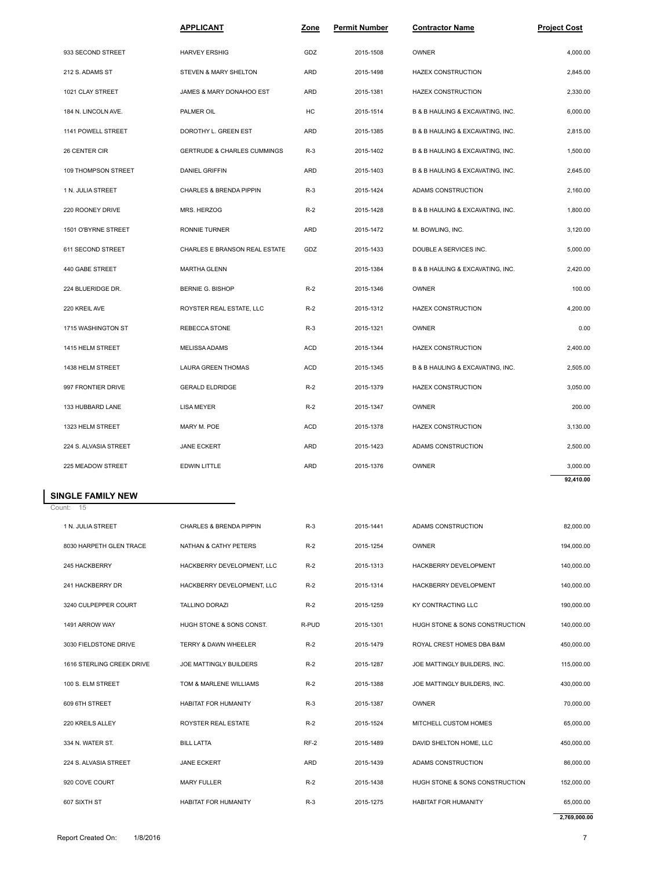|                                | <b>APPLICANT</b>                       | Zone       | <b>Permit Number</b> | <b>Contractor Name</b>           | <u>Project Cost</u> |
|--------------------------------|----------------------------------------|------------|----------------------|----------------------------------|---------------------|
| 933 SECOND STREET              | <b>HARVEY ERSHIG</b>                   | GDZ        | 2015-1508            | <b>OWNER</b>                     | 4,000.00            |
| 212 S. ADAMS ST                | STEVEN & MARY SHELTON                  | ARD        | 2015-1498            | HAZEX CONSTRUCTION               | 2,845.00            |
| 1021 CLAY STREET               | JAMES & MARY DONAHOO EST               | ARD        | 2015-1381            | HAZEX CONSTRUCTION               | 2,330.00            |
| 184 N. LINCOLN AVE.            | PALMER OIL                             | НC         | 2015-1514            | B & B HAULING & EXCAVATING, INC. | 6,000.00            |
| 1141 POWELL STREET             | DOROTHY L. GREEN EST                   | ARD        | 2015-1385            | B & B HAULING & EXCAVATING, INC. | 2,815.00            |
| 26 CENTER CIR                  | <b>GERTRUDE &amp; CHARLES CUMMINGS</b> | $R-3$      | 2015-1402            | B & B HAULING & EXCAVATING, INC. | 1,500.00            |
| 109 THOMPSON STREET            | <b>DANIEL GRIFFIN</b>                  | ARD        | 2015-1403            | B & B HAULING & EXCAVATING, INC. | 2,645.00            |
| 1 N. JULIA STREET              | CHARLES & BRENDA PIPPIN                | $R-3$      | 2015-1424            | ADAMS CONSTRUCTION               | 2,160.00            |
| 220 ROONEY DRIVE               | MRS. HERZOG                            | $R-2$      | 2015-1428            | B & B HAULING & EXCAVATING, INC. | 1,800.00            |
| 1501 O'BYRNE STREET            | <b>RONNIE TURNER</b>                   | ARD        | 2015-1472            | M. BOWLING, INC.                 | 3,120.00            |
| 611 SECOND STREET              | CHARLES E BRANSON REAL ESTATE          | GDZ        | 2015-1433            | DOUBLE A SERVICES INC.           | 5,000.00            |
| 440 GABE STREET                | <b>MARTHA GLENN</b>                    |            | 2015-1384            | B & B HAULING & EXCAVATING, INC. | 2,420.00            |
| 224 BLUERIDGE DR.              | <b>BERNIE G. BISHOP</b>                | $R-2$      | 2015-1346            | OWNER                            | 100.00              |
| 220 KREIL AVE                  | ROYSTER REAL ESTATE, LLC               | $R-2$      | 2015-1312            | HAZEX CONSTRUCTION               | 4,200.00            |
| 1715 WASHINGTON ST             | REBECCA STONE                          | $R-3$      | 2015-1321            | <b>OWNER</b>                     | 0.00                |
| 1415 HELM STREET               | <b>MELISSA ADAMS</b>                   | ACD        | 2015-1344            | HAZEX CONSTRUCTION               | 2,400.00            |
| 1438 HELM STREET               | LAURA GREEN THOMAS                     | ACD        | 2015-1345            | B & B HAULING & EXCAVATING, INC. | 2,505.00            |
| 997 FRONTIER DRIVE             | <b>GERALD ELDRIDGE</b>                 | $R-2$      | 2015-1379            | HAZEX CONSTRUCTION               | 3,050.00            |
| 133 HUBBARD LANE               | <b>LISA MEYER</b>                      | $R-2$      | 2015-1347            | <b>OWNER</b>                     | 200.00              |
| 1323 HELM STREET               | MARY M. POE                            | <b>ACD</b> | 2015-1378            | HAZEX CONSTRUCTION               | 3,130.00            |
| 224 S. ALVASIA STREET          | <b>JANE ECKERT</b>                     | ARD        | 2015-1423            | ADAMS CONSTRUCTION               | 2,500.00            |
| 225 MEADOW STREET              | EDWIN LITTLE                           | ARD        | 2015-1376            | <b>OWNER</b>                     | 3,000.00            |
|                                |                                        |            |                      |                                  | 92,410.00           |
| SINGLE FAMILY NEW<br>Count: 15 |                                        |            |                      |                                  |                     |
| 1 N. JULIA STREET              | CHARLES & BRENDA PIPPIN                | $R-3$      | 2015-1441            | ADAMS CONSTRUCTION               | 82,000.00           |
| 8030 HARPETH GLEN TRACE        | NATHAN & CATHY PETERS                  | $R-2$      | 2015-1254            | <b>OWNER</b>                     | 194,000.00          |
| 245 HACKBERRY                  | HACKBERRY DEVELOPMENT. LLC             | $R-2$      | 2015-1313            | HACKBERRY DEVELOPMENT            | 140.000.00          |

|                           |                                    |            |           |                                | 92,410.00    |  |
|---------------------------|------------------------------------|------------|-----------|--------------------------------|--------------|--|
| INGLE FAMILY NEW          |                                    |            |           |                                |              |  |
| ount: 15                  |                                    |            |           |                                |              |  |
| 1 N. JULIA STREET         | <b>CHARLES &amp; BRENDA PIPPIN</b> | $R-3$      | 2015-1441 | ADAMS CONSTRUCTION             | 82,000.00    |  |
| 8030 HARPETH GLEN TRACE   | NATHAN & CATHY PETERS              | $R-2$      | 2015-1254 | <b>OWNER</b>                   | 194,000.00   |  |
| 245 HACKBERRY             | HACKBERRY DEVELOPMENT, LLC         | $R-2$      | 2015-1313 | HACKBERRY DEVELOPMENT          | 140,000.00   |  |
| 241 HACKBERRY DR          | HACKBERRY DEVELOPMENT, LLC         | $R-2$      | 2015-1314 | HACKBERRY DEVELOPMENT          | 140,000.00   |  |
| 3240 CULPEPPER COURT      | <b>TALLINO DORAZI</b>              | $R-2$      | 2015-1259 | KY CONTRACTING LLC             | 190,000.00   |  |
| 1491 ARROW WAY            | HUGH STONE & SONS CONST.           | R-PUD      | 2015-1301 | HUGH STONE & SONS CONSTRUCTION | 140,000.00   |  |
| 3030 FIELDSTONE DRIVE     | <b>TERRY &amp; DAWN WHEELER</b>    | $R-2$      | 2015-1479 | ROYAL CREST HOMES DBA B&M      | 450,000.00   |  |
| 1616 STERLING CREEK DRIVE | <b>JOE MATTINGLY BUILDERS</b>      | $R-2$      | 2015-1287 | JOE MATTINGLY BUILDERS, INC.   | 115,000.00   |  |
| 100 S. ELM STREET         | TOM & MARLENE WILLIAMS             | $R-2$      | 2015-1388 | JOE MATTINGLY BUILDERS, INC.   | 430,000.00   |  |
| 609 6TH STREET            | <b>HABITAT FOR HUMANITY</b>        | $R-3$      | 2015-1387 | <b>OWNER</b>                   | 70.000.00    |  |
| 220 KREILS ALLEY          | ROYSTER REAL ESTATE                | $R-2$      | 2015-1524 | MITCHELL CUSTOM HOMES          | 65,000.00    |  |
| 334 N. WATER ST.          | <b>BILL LATTA</b>                  | $RF-2$     | 2015-1489 | DAVID SHELTON HOME, LLC        | 450,000.00   |  |
| 224 S. ALVASIA STREET     | <b>JANE ECKERT</b>                 | <b>ARD</b> | 2015-1439 | ADAMS CONSTRUCTION             | 86,000.00    |  |
| 920 COVE COURT            | <b>MARY FULLER</b>                 | $R-2$      | 2015-1438 | HUGH STONE & SONS CONSTRUCTION | 152.000.00   |  |
| 607 SIXTH ST              | HABITAT FOR HUMANITY               | $R-3$      | 2015-1275 | HABITAT FOR HUMANITY           | 65,000.00    |  |
|                           |                                    |            |           |                                | 2,769,000.00 |  |